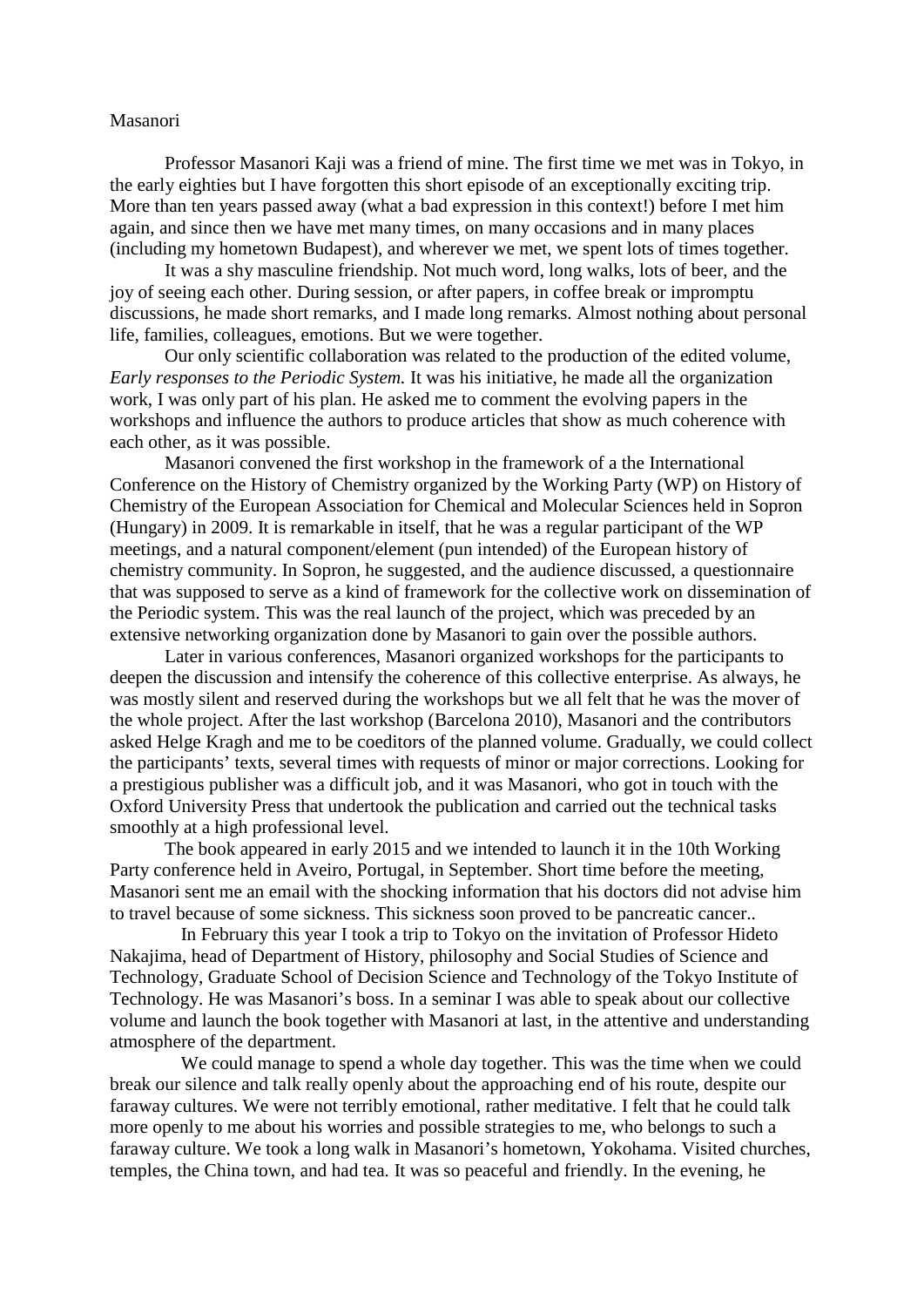## Masanori

Professor Masanori Kaji was a friend of mine. The first time we met was in Tokyo, in the early eighties but I have forgotten this short episode of an exceptionally exciting trip. More than ten years passed away (what a bad expression in this context!) before I met him again, and since then we have met many times, on many occasions and in many places (including my hometown Budapest), and wherever we met, we spent lots of times together.

It was a shy masculine friendship. Not much word, long walks, lots of beer, and the joy of seeing each other. During session, or after papers, in coffee break or impromptu discussions, he made short remarks, and I made long remarks. Almost nothing about personal life, families, colleagues, emotions. But we were together.

Our only scientific collaboration was related to the production of the edited volume, *Early responses to the Periodic System.* It was his initiative, he made all the organization work, I was only part of his plan. He asked me to comment the evolving papers in the workshops and influence the authors to produce articles that show as much coherence with each other, as it was possible.

Masanori convened the first workshop in the framework of a the International Conference on the History of Chemistry organized by the Working Party (WP) on History of Chemistry of the European Association for Chemical and Molecular Sciences held in Sopron (Hungary) in 2009. It is remarkable in itself, that he was a regular participant of the WP meetings, and a natural component/element (pun intended) of the European history of chemistry community. In Sopron, he suggested, and the audience discussed, a questionnaire that was supposed to serve as a kind of framework for the collective work on dissemination of the Periodic system. This was the real launch of the project, which was preceded by an extensive networking organization done by Masanori to gain over the possible authors.

Later in various conferences, Masanori organized workshops for the participants to deepen the discussion and intensify the coherence of this collective enterprise. As always, he was mostly silent and reserved during the workshops but we all felt that he was the mover of the whole project. After the last workshop (Barcelona 2010), Masanori and the contributors asked Helge Kragh and me to be coeditors of the planned volume. Gradually, we could collect the participants' texts, several times with requests of minor or major corrections. Looking for a prestigious publisher was a difficult job, and it was Masanori, who got in touch with the Oxford University Press that undertook the publication and carried out the technical tasks smoothly at a high professional level.

The book appeared in early 2015 and we intended to launch it in the 10th Working Party conference held in Aveiro, Portugal, in September. Short time before the meeting, Masanori sent me an email with the shocking information that his doctors did not advise him to travel because of some sickness. This sickness soon proved to be pancreatic cancer..

In February this year I took a trip to Tokyo on the invitation of Professor Hideto Nakajima, head of Department of History, philosophy and Social Studies of Science and Technology, Graduate School of Decision Science and Technology of the Tokyo Institute of Technology. He was Masanori's boss. In a seminar I was able to speak about our collective volume and launch the book together with Masanori at last, in the attentive and understanding atmosphere of the department.

We could manage to spend a whole day together. This was the time when we could break our silence and talk really openly about the approaching end of his route, despite our faraway cultures. We were not terribly emotional, rather meditative. I felt that he could talk more openly to me about his worries and possible strategies to me, who belongs to such a faraway culture. We took a long walk in Masanori's hometown, Yokohama. Visited churches, temples, the China town, and had tea. It was so peaceful and friendly. In the evening, he